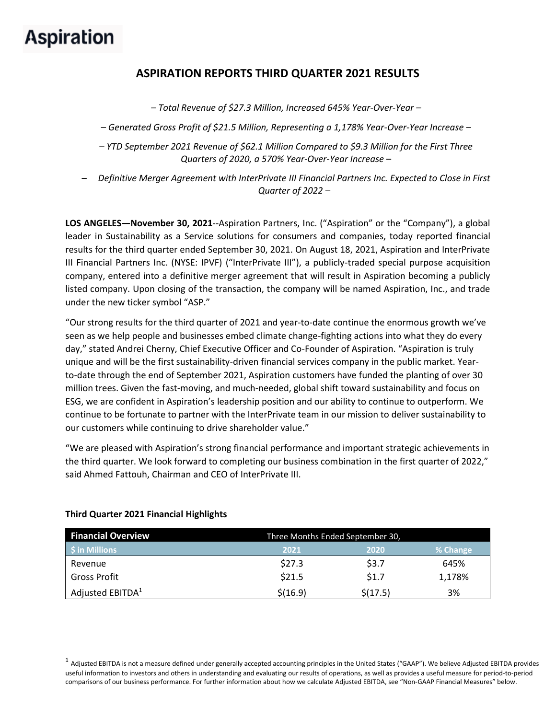### **ASPIRATION REPORTS THIRD QUARTER 2021 RESULTS**

*– Total Revenue of \$27.3 Million, Increased 645% Year-Over-Year –*

*– Generated Gross Profit of \$21.5 Million, Representing a 1,178% Year-Over-Year Increase –*

*– YTD September 2021 Revenue of \$62.1 Million Compared to \$9.3 Million for the First Three Quarters of 2020, a 570% Year-Over-Year Increase* –

– *Definitive Merger Agreement with InterPrivate III Financial Partners Inc. Expected to Close in First Quarter of 2022 –*

**LOS ANGELES—November 30, 2021**--Aspiration Partners, Inc. ("Aspiration" or the "Company"), a global leader in Sustainability as a Service solutions for consumers and companies, today reported financial results for the third quarter ended September 30, 2021. On August 18, 2021, Aspiration and InterPrivate III Financial Partners Inc. (NYSE: IPVF) ("InterPrivate III"), a publicly-traded special purpose acquisition company, entered into a definitive merger agreement that will result in Aspiration becoming a publicly listed company. Upon closing of the transaction, the company will be named Aspiration, Inc., and trade under the new ticker symbol "ASP."

"Our strong results for the third quarter of 2021 and year-to-date continue the enormous growth we've seen as we help people and businesses embed climate change-fighting actions into what they do every day," stated Andrei Cherny, Chief Executive Officer and Co-Founder of Aspiration. "Aspiration is truly unique and will be the first sustainability-driven financial services company in the public market. Yearto-date through the end of September 2021, Aspiration customers have funded the planting of over 30 million trees. Given the fast-moving, and much-needed, global shift toward sustainability and focus on ESG, we are confident in Aspiration's leadership position and our ability to continue to outperform. We continue to be fortunate to partner with the InterPrivate team in our mission to deliver sustainability to our customers while continuing to drive shareholder value."

"We are pleased with Aspiration's strong financial performance and important strategic achievements in the third quarter. We look forward to completing our business combination in the first quarter of 2022," said Ahmed Fattouh, Chairman and CEO of InterPrivate III.

| <b>Financial Overview</b>    | Three Months Ended September 30, |          |          |  |
|------------------------------|----------------------------------|----------|----------|--|
| S in Millions                | 2021                             | 2020     | % Change |  |
| Revenue                      | \$27.3                           | \$3.7    | 645%     |  |
| <b>Gross Profit</b>          | \$21.5                           | 51.7     | 1,178%   |  |
| Adjusted EBITDA <sup>1</sup> | \$(16.9)                         | \$(17.5) | 3%       |  |

### **Third Quarter 2021 Financial Highlights**

<sup>&</sup>lt;sup>1</sup> Adjusted EBITDA is not a measure defined under generally accepted accounting principles in the United States ("GAAP"). We believe Adjusted EBITDA provides useful information to investors and others in understanding and evaluating our results of operations, as well as provides a useful measure for period-to-period comparisons of our business performance. For further information about how we calculate Adjusted EBITDA, see "Non-GAAP Financial Measures" below.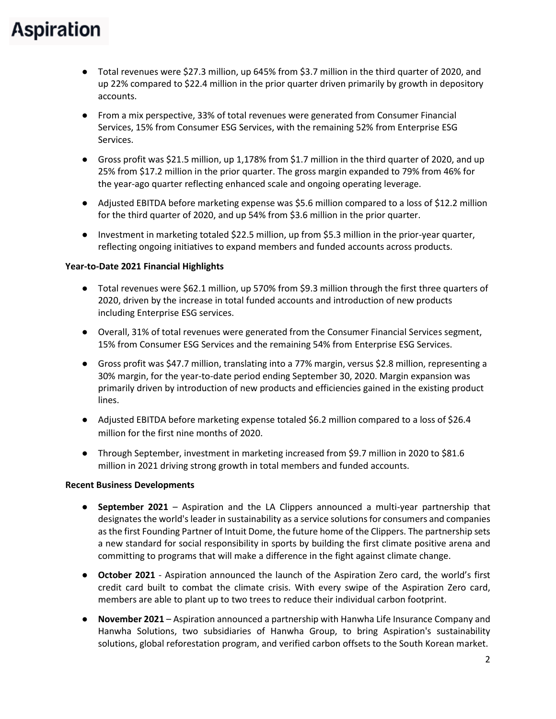- Total revenues were \$27.3 million, up 645% from \$3.7 million in the third quarter of 2020, and up 22% compared to \$22.4 million in the prior quarter driven primarily by growth in depository accounts.
- From a mix perspective, 33% of total revenues were generated from Consumer Financial Services, 15% from Consumer ESG Services, with the remaining 52% from Enterprise ESG Services.
- Gross profit was \$21.5 million, up 1,178% from \$1.7 million in the third quarter of 2020, and up 25% from \$17.2 million in the prior quarter. The gross margin expanded to 79% from 46% for the year-ago quarter reflecting enhanced scale and ongoing operating leverage.
- Adjusted EBITDA before marketing expense was \$5.6 million compared to a loss of \$12.2 million for the third quarter of 2020, and up 54% from \$3.6 million in the prior quarter.
- Investment in marketing totaled \$22.5 million, up from \$5.3 million in the prior-year quarter, reflecting ongoing initiatives to expand members and funded accounts across products.

#### **Year-to-Date 2021 Financial Highlights**

- Total revenues were \$62.1 million, up 570% from \$9.3 million through the first three quarters of 2020, driven by the increase in total funded accounts and introduction of new products including Enterprise ESG services.
- Overall, 31% of total revenues were generated from the Consumer Financial Services segment, 15% from Consumer ESG Services and the remaining 54% from Enterprise ESG Services.
- Gross profit was \$47.7 million, translating into a 77% margin, versus \$2.8 million, representing a 30% margin, for the year-to-date period ending September 30, 2020. Margin expansion was primarily driven by introduction of new products and efficiencies gained in the existing product lines.
- Adjusted EBITDA before marketing expense totaled \$6.2 million compared to a loss of \$26.4 million for the first nine months of 2020.
- Through September, investment in marketing increased from \$9.7 million in 2020 to \$81.6 million in 2021 driving strong growth in total members and funded accounts.

#### **Recent Business Developments**

- **September 2021** Aspiration and the LA Clippers announced a multi-year partnership that designates the world's leader in sustainability as a service solutions for consumers and companies as the first Founding Partner of Intuit Dome, the future home of the Clippers. The partnership sets a new standard for social responsibility in sports by building the first climate positive arena and committing to programs that will make a difference in the fight against climate change.
- **October 2021** Aspiration announced the launch of the Aspiration Zero card, the world's first credit card built to combat the climate crisis. With every swipe of the Aspiration Zero card, members are able to plant up to two trees to reduce their individual carbon footprint.
- **November 2021** Aspiration announced a partnership with Hanwha Life Insurance Company and Hanwha Solutions, two subsidiaries of Hanwha Group, to bring Aspiration's sustainability solutions, global reforestation program, and verified carbon offsets to the South Korean market.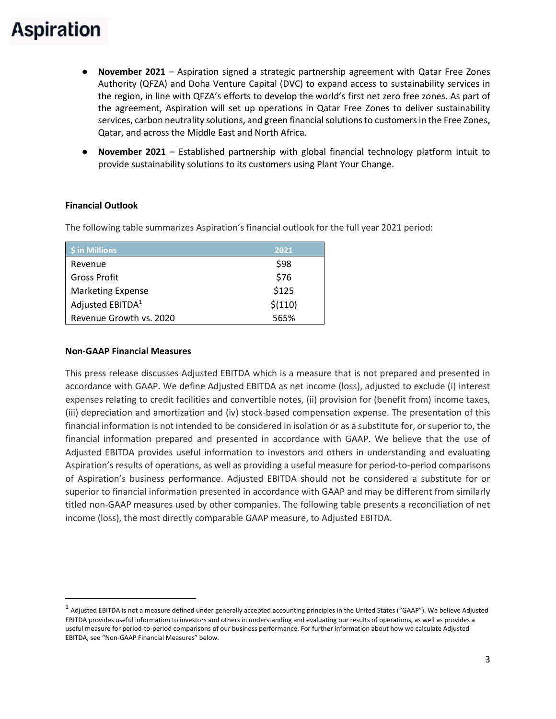- **November 2021** Aspiration signed a strategic partnership agreement with Qatar Free Zones Authority (QFZA) and Doha Venture Capital (DVC) to expand access to sustainability services in the region, in line with QFZA's efforts to develop the world's first net zero free zones. As part of the agreement, Aspiration will set up operations in Qatar Free Zones to deliver sustainability services, carbon neutrality solutions, and green financial solutions to customers in the Free Zones, Qatar, and across the Middle East and North Africa.
- **November 2021** Established partnership with global financial technology platform Intuit to provide sustainability solutions to its customers using Plant Your Change.

#### **Financial Outlook**

The following table summarizes Aspiration's financial outlook for the full year 2021 period:

| \$ in Millions               | 2021    |
|------------------------------|---------|
| Revenue                      | \$98    |
| <b>Gross Profit</b>          | \$76    |
| <b>Marketing Expense</b>     | \$125   |
| Adjusted EBITDA <sup>1</sup> | \$(110) |
| Revenue Growth vs. 2020      | 565%    |

#### **Non-GAAP Financial Measures**

This press release discusses Adjusted EBITDA which is a measure that is not prepared and presented in accordance with GAAP. We define Adjusted EBITDA as net income (loss), adjusted to exclude (i) interest expenses relating to credit facilities and convertible notes, (ii) provision for (benefit from) income taxes, (iii) depreciation and amortization and (iv) stock-based compensation expense. The presentation of this financial information is not intended to be considered in isolation or as a substitute for, or superior to, the financial information prepared and presented in accordance with GAAP. We believe that the use of Adjusted EBITDA provides useful information to investors and others in understanding and evaluating Aspiration's results of operations, as well as providing a useful measure for period-to-period comparisons of Aspiration's business performance. Adjusted EBITDA should not be considered a substitute for or superior to financial information presented in accordance with GAAP and may be different from similarly titled non-GAAP measures used by other companies. The following table presents a reconciliation of net income (loss), the most directly comparable GAAP measure, to Adjusted EBITDA.

 $^1$  Adjusted EBITDA is not a measure defined under generally accepted accounting principles in the United States ("GAAP"). We believe Adjusted EBITDA provides useful information to investors and others in understanding and evaluating our results of operations, as well as provides a useful measure for period-to-period comparisons of our business performance. For further information about how we calculate Adjusted EBITDA, see "Non-GAAP Financial Measures" below.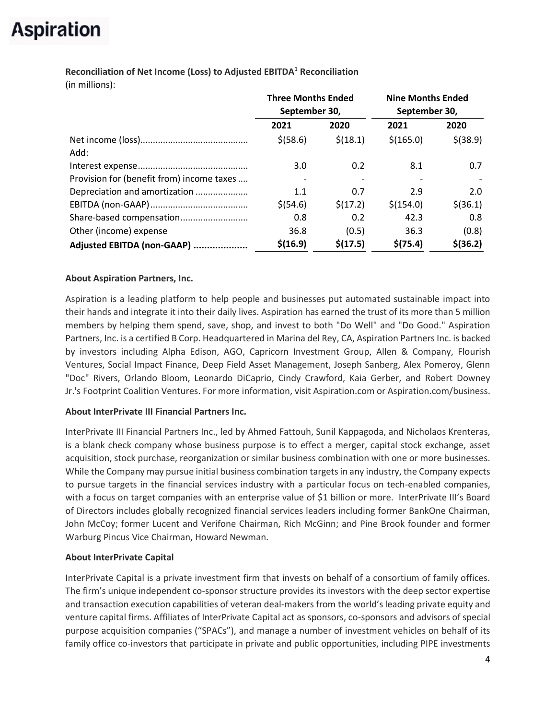| Reconciliation of Net Income (Loss) to Adjusted EBITDA <sup>1</sup> Reconciliation |
|------------------------------------------------------------------------------------|
| (in millions):                                                                     |

|                                           | <b>Three Months Ended</b><br>September 30, |          | <b>Nine Months Ended</b><br>September 30, |            |
|-------------------------------------------|--------------------------------------------|----------|-------------------------------------------|------------|
|                                           |                                            |          |                                           |            |
|                                           | 2021                                       | 2020     | 2021                                      | 2020       |
|                                           | \$ (58.6)                                  | \$(18.1) | \$(165.0)                                 | $$$ (38.9) |
| Add:                                      |                                            |          |                                           |            |
|                                           | 3.0                                        | 0.2      | 8.1                                       | 0.7        |
| Provision for (benefit from) income taxes |                                            |          |                                           |            |
| Depreciation and amortization             | 1.1                                        | 0.7      | 2.9                                       | 2.0        |
|                                           | $$$ (54.6)                                 | \$(17.2) | \$(154.0)                                 | $$$ (36.1) |
| Share-based compensation                  | 0.8                                        | 0.2      | 42.3                                      | 0.8        |
| Other (income) expense                    | 36.8                                       | (0.5)    | 36.3                                      | (0.8)      |
| Adjusted EBITDA (non-GAAP)                | \$(16.9)                                   | \$(17.5) | \$(75.4)                                  | $$$ (36.2) |

#### **About Aspiration Partners, Inc.**

Aspiration is a leading platform to help people and businesses put automated sustainable impact into their hands and integrate it into their daily lives. Aspiration has earned the trust of its more than 5 million members by helping them spend, save, shop, and invest to both "Do Well" and "Do Good." Aspiration Partners, Inc. is a certified B Corp. Headquartered in Marina del Rey, CA, Aspiration Partners Inc. is backed by investors including Alpha Edison, AGO, Capricorn Investment Group, Allen & Company, Flourish Ventures, Social Impact Finance, Deep Field Asset Management, Joseph Sanberg, Alex Pomeroy, Glenn "Doc" Rivers, Orlando Bloom, Leonardo DiCaprio, Cindy Crawford, Kaia Gerber, and Robert Downey Jr.'s Footprint Coalition Ventures. For more information, visit [Aspiration.com](http://aspiration.com/) or [Aspiration.com/business.](http://aspiration.com/business)

#### **About InterPrivate III Financial Partners Inc.**

InterPrivate III Financial Partners Inc., led by Ahmed Fattouh, Sunil Kappagoda, and Nicholaos Krenteras, is a blank check company whose business purpose is to effect a merger, capital stock exchange, asset acquisition, stock purchase, reorganization or similar business combination with one or more businesses. While the Company may pursue initial business combination targets in any industry, the Company expects to pursue targets in the financial services industry with a particular focus on tech-enabled companies, with a focus on target companies with an enterprise value of \$1 billion or more. InterPrivate III's Board of Directors includes globally recognized financial services leaders including former BankOne Chairman, John McCoy; former Lucent and Verifone Chairman, Rich McGinn; and Pine Brook founder and former Warburg Pincus Vice Chairman, Howard Newman.

#### **About InterPrivate Capital**

InterPrivate Capital is a private investment firm that invests on behalf of a consortium of family offices. The firm's unique independent co-sponsor structure provides its investors with the deep sector expertise and transaction execution capabilities of veteran deal-makers from the world's leading private equity and venture capital firms. Affiliates of InterPrivate Capital act as sponsors, co-sponsors and advisors of special purpose acquisition companies ("SPACs"), and manage a number of investment vehicles on behalf of its family office co-investors that participate in private and public opportunities, including PIPE investments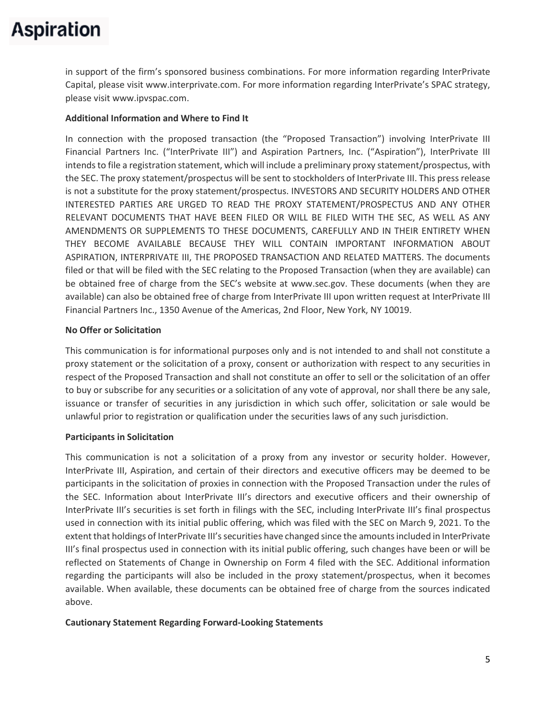in support of the firm's sponsored business combinations. For more information regarding InterPrivate Capital, please visit www.interprivate.com. For more information regarding InterPrivate's SPAC strategy, please visit [www.ipvspac.com.](about:blank)

#### **Additional Information and Where to Find It**

In connection with the proposed transaction (the "Proposed Transaction") involving InterPrivate III Financial Partners Inc. ("InterPrivate III") and Aspiration Partners, Inc. ("Aspiration"), InterPrivate III intends to file a registration statement, which will include a preliminary proxy statement/prospectus, with the SEC. The proxy statement/prospectus will be sent to stockholders of InterPrivate III. This press release is not a substitute for the proxy statement/prospectus. INVESTORS AND SECURITY HOLDERS AND OTHER INTERESTED PARTIES ARE URGED TO READ THE PROXY STATEMENT/PROSPECTUS AND ANY OTHER RELEVANT DOCUMENTS THAT HAVE BEEN FILED OR WILL BE FILED WITH THE SEC, AS WELL AS ANY AMENDMENTS OR SUPPLEMENTS TO THESE DOCUMENTS, CAREFULLY AND IN THEIR ENTIRETY WHEN THEY BECOME AVAILABLE BECAUSE THEY WILL CONTAIN IMPORTANT INFORMATION ABOUT ASPIRATION, INTERPRIVATE III, THE PROPOSED TRANSACTION AND RELATED MATTERS. The documents filed or that will be filed with the SEC relating to the Proposed Transaction (when they are available) can be obtained free of charge from the SEC's website at www.sec.gov. These documents (when they are available) can also be obtained free of charge from InterPrivate III upon written request at InterPrivate III Financial Partners Inc., 1350 Avenue of the Americas, 2nd Floor, New York, NY 10019.

#### **No Offer or Solicitation**

This communication is for informational purposes only and is not intended to and shall not constitute a proxy statement or the solicitation of a proxy, consent or authorization with respect to any securities in respect of the Proposed Transaction and shall not constitute an offer to sell or the solicitation of an offer to buy or subscribe for any securities or a solicitation of any vote of approval, nor shall there be any sale, issuance or transfer of securities in any jurisdiction in which such offer, solicitation or sale would be unlawful prior to registration or qualification under the securities laws of any such jurisdiction.

#### **Participants in Solicitation**

This communication is not a solicitation of a proxy from any investor or security holder. However, InterPrivate III, Aspiration, and certain of their directors and executive officers may be deemed to be participants in the solicitation of proxies in connection with the Proposed Transaction under the rules of the SEC. Information about InterPrivate III's directors and executive officers and their ownership of InterPrivate III's securities is set forth in filings with the SEC, including InterPrivate III's final prospectus used in connection with its initial public offering, which was filed with the SEC on March 9, 2021. To the extent that holdings of InterPrivate III's securities have changed since the amounts included in InterPrivate III's final prospectus used in connection with its initial public offering, such changes have been or will be reflected on Statements of Change in Ownership on Form 4 filed with the SEC. Additional information regarding the participants will also be included in the proxy statement/prospectus, when it becomes available. When available, these documents can be obtained free of charge from the sources indicated above.

#### **Cautionary Statement Regarding Forward-Looking Statements**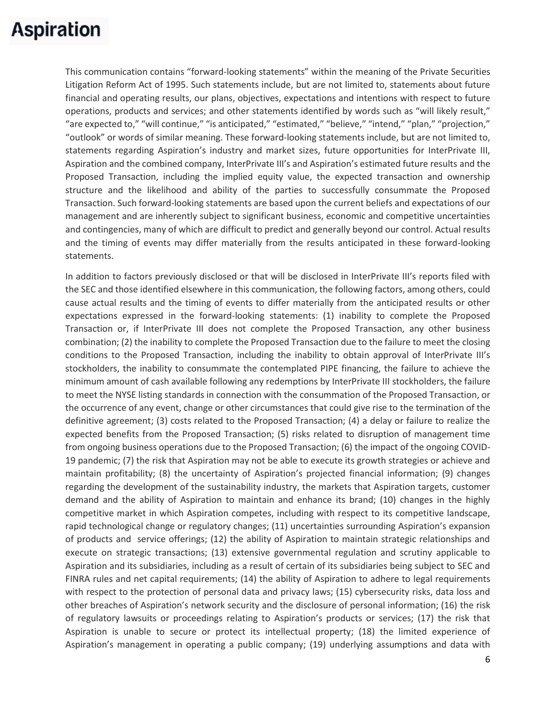This communication contains "forward-looking statements" within the meaning of the Private Securities Litigation Reform Act of 1995. Such statements include, but are not limited to, statements about future financial and operating results, our plans, objectives, expectations and intentions with respect to future operations, products and services; and other statements identified by words such as "will likely result," "are expected to," "will continue," "is anticipated," "estimated," "believe," "intend," "plan," "projection," "outlook" or words of similar meaning. These forward-looking statements include, but are not limited to, statements regarding Aspiration's industry and market sizes, future opportunities for InterPrivate III, Aspiration and the combined company, InterPrivate III's and Aspiration's estimated future results and the Proposed Transaction, including the implied equity value, the expected transaction and ownership structure and the likelihood and ability of the parties to successfully consummate the Proposed Transaction. Such forward-looking statements are based upon the current beliefs and expectations of our management and are inherently subject to significant business, economic and competitive uncertainties and contingencies, many of which are difficult to predict and generally beyond our control. Actual results and the timing of events may differ materially from the results anticipated in these forward-looking statements.

In addition to factors previously disclosed or that will be disclosed in InterPrivate III's reports filed with the SEC and those identified elsewhere in this communication, the following factors, among others, could cause actual results and the timing of events to differ materially from the anticipated results or other expectations expressed in the forward-looking statements: (1) inability to complete the Proposed Transaction or, if InterPrivate III does not complete the Proposed Transaction, any other business combination; (2) the inability to complete the Proposed Transaction due to the failure to meet the closing conditions to the Proposed Transaction, including the inability to obtain approval of InterPrivate III's stockholders, the inability to consummate the contemplated PIPE financing, the failure to achieve the minimum amount of cash available following any redemptions by InterPrivate III stockholders, the failure to meet the NYSE listing standards in connection with the consummation of the Proposed Transaction, or the occurrence of any event, change or other circumstances that could give rise to the termination of the definitive agreement; (3) costs related to the Proposed Transaction; (4) a delay or failure to realize the expected benefits from the Proposed Transaction; (5) risks related to disruption of management time from ongoing business operations due to the Proposed Transaction; (6) the impact of the ongoing COVID-19 pandemic; (7) the risk that Aspiration may not be able to execute its growth strategies or achieve and maintain profitability; (8) the uncertainty of Aspiration's projected financial information; (9) changes regarding the development of the sustainability industry, the markets that Aspiration targets, customer demand and the ability of Aspiration to maintain and enhance its brand; (10) changes in the highly competitive market in which Aspiration competes, including with respect to its competitive landscape, rapid technological change or regulatory changes; (11) uncertainties surrounding Aspiration's expansion of products and service offerings; (12) the ability of Aspiration to maintain strategic relationships and execute on strategic transactions; (13) extensive governmental regulation and scrutiny applicable to Aspiration and its subsidiaries, including as a result of certain of its subsidiaries being subject to SEC and FINRA rules and net capital requirements; (14) the ability of Aspiration to adhere to legal requirements with respect to the protection of personal data and privacy laws; (15) cybersecurity risks, data loss and other breaches of Aspiration's network security and the disclosure of personal information; (16) the risk of regulatory lawsuits or proceedings relating to Aspiration's products or services; (17) the risk that Aspiration is unable to secure or protect its intellectual property; (18) the limited experience of Aspiration's management in operating a public company; (19) underlying assumptions and data with